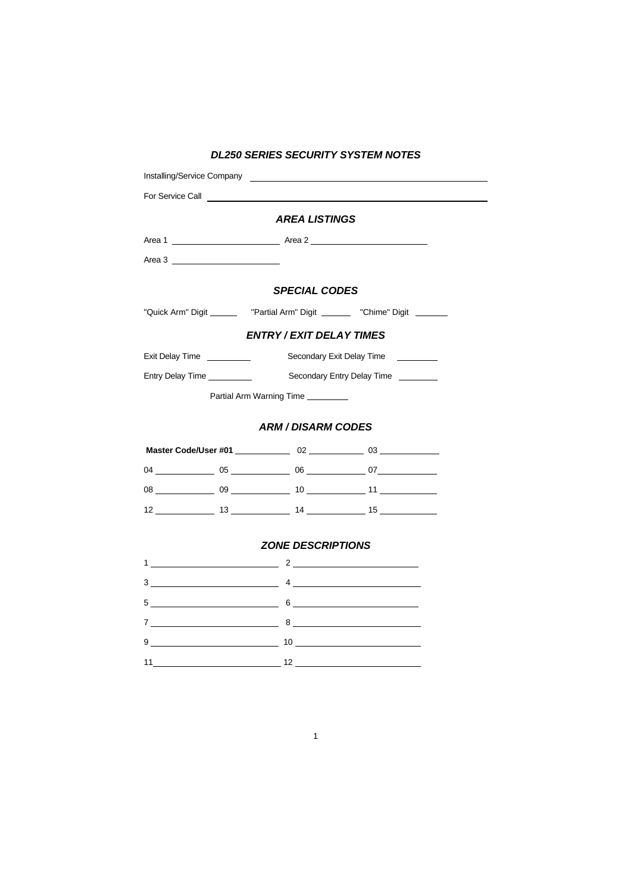| DL250 SERIES SECURITY SYSTEM NOTES                                                        |                          |                                                                              |
|-------------------------------------------------------------------------------------------|--------------------------|------------------------------------------------------------------------------|
|                                                                                           |                          |                                                                              |
|                                                                                           |                          |                                                                              |
|                                                                                           | <b>AREA LISTINGS</b>     |                                                                              |
|                                                                                           |                          |                                                                              |
| Area 3                                                                                    |                          |                                                                              |
| <b>SPECIAL CODES</b>                                                                      |                          |                                                                              |
|                                                                                           |                          | "Quick Arm" Digit ________ "Partial Arm" Digit _______ "Chime" Digit _______ |
| <b>ENTRY / EXIT DELAY TIMES</b>                                                           |                          |                                                                              |
|                                                                                           |                          |                                                                              |
|                                                                                           |                          |                                                                              |
| Partial Arm Warning Time                                                                  |                          |                                                                              |
| <b>ARM / DISARM CODES</b>                                                                 |                          |                                                                              |
|                                                                                           |                          |                                                                              |
|                                                                                           |                          |                                                                              |
|                                                                                           |                          |                                                                              |
|                                                                                           |                          |                                                                              |
|                                                                                           | <b>ZONE DESCRIPTIONS</b> |                                                                              |
|                                                                                           |                          |                                                                              |
| $3 \qquad \qquad 4 \qquad \qquad$                                                         |                          |                                                                              |
| $5$ 6 $\overline{\phantom{a}}$                                                            |                          |                                                                              |
| $7 \t\t 8$                                                                                |                          |                                                                              |
| $9 \underline{\hspace{1.5cm}10 \underline{\hspace{1.5cm}10 \underline{\hspace{1.5cm}1}}}$ |                          |                                                                              |
|                                                                                           |                          |                                                                              |

# *DL250 SERIES SECURITY SYSTEM NOTES*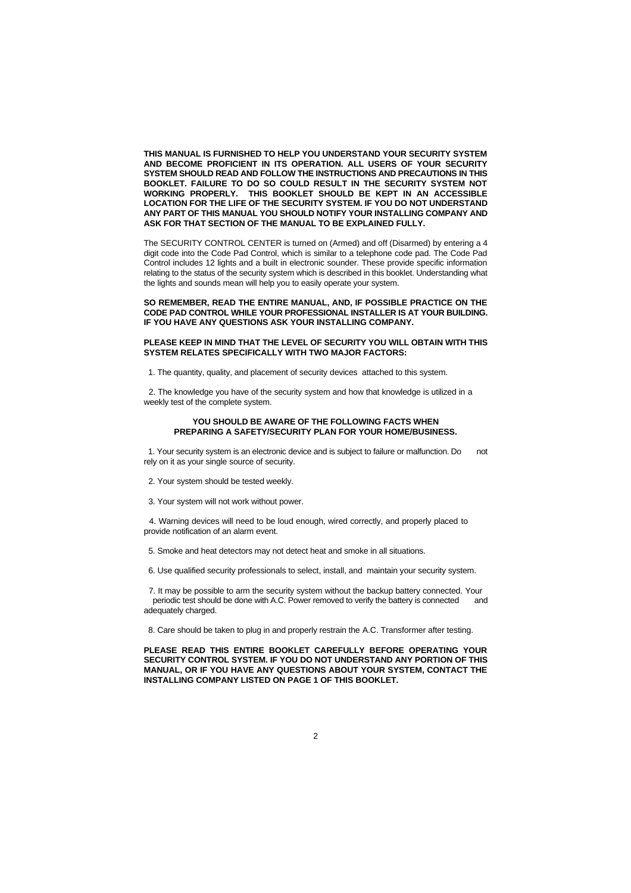**THIS MANUAL IS FURNISHED TO HELP YOU UNDERSTAND YOUR SECURITY SYSTEM AND BECOME PROFICIENT IN ITS OPERATION. ALL USERS OF YOUR SECURITY SYSTEM SHOULD READ AND FOLLOW THE INSTRUCTIONS AND PRECAUTIONS IN THIS BOOKLET. FAILURE TO DO SO COULD RESULT IN THE SECURITY SYSTEM NOT WORKING PROPERLY. THIS BOOKLET SHOULD BE KEPT IN AN ACCESSIBLE LOCATION FOR THE LIFE OF THE SECURITY SYSTEM. IF YOU DO NOT UNDERSTAND ANY PART OF THIS MANUAL YOU SHOULD NOTIFY YOUR INSTALLING COMPANY AND ASK FOR THAT SECTION OF THE MANUAL TO BE EXPLAINED FULLY.**

The SECURITY CONTROL CENTER is turned on (Armed) and off (Disarmed) by entering a 4 digit code into the Code Pad Control, which is similar to a telephone code pad. The Code Pad Control includes 12 lights and a built in electronic sounder. These provide specific information relating to the status of the security system which is described in this booklet. Understanding what the lights and sounds mean will help you to easily operate your system.

#### **SO REMEMBER, READ THE ENTIRE MANUAL, AND, IF POSSIBLE PRACTICE ON THE CODE PAD CONTROL WHILE YOUR PROFESSIONAL INSTALLER IS AT YOUR BUILDING. IF YOU HAVE ANY QUESTIONS ASK YOUR INSTALLING COMPANY.**

#### **PLEASE KEEP IN MIND THAT THE LEVEL OF SECURITY YOU WILL OBTAIN WITH THIS SYSTEM RELATES SPECIFICALLY WITH TWO MAJOR FACTORS:**

1. The quantity, quality, and placement of security devices attached to this system.

 2. The knowledge you have of the security system and how that knowledge is utilized in a weekly test of the complete system.

#### **YOU SHOULD BE AWARE OF THE FOLLOWING FACTS WHEN PREPARING A SAFETY/SECURITY PLAN FOR YOUR HOME/BUSINESS.**

 1. Your security system is an electronic device and is subject to failure or malfunction. Do not rely on it as your single source of security.

- 2. Your system should be tested weekly.
- 3. Your system will not work without power.

 4. Warning devices will need to be loud enough, wired correctly, and properly placed to provide notification of an alarm event.

- 5. Smoke and heat detectors may not detect heat and smoke in all situations.
- 6. Use qualified security professionals to select, install, and maintain your security system.

 7. It may be possible to arm the security system without the backup battery connected. Your periodic test should be done with A.C. Power removed to verify the battery is connected and adequately charged.

8. Care should be taken to plug in and properly restrain the A.C. Transformer after testing.

**PLEASE READ THIS ENTIRE BOOKLET CAREFULLY BEFORE OPERATING YOUR SECURITY CONTROL SYSTEM. IF YOU DO NOT UNDERSTAND ANY PORTION OF THIS MANUAL, OR IF YOU HAVE ANY QUESTIONS ABOUT YOUR SYSTEM, CONTACT THE INSTALLING COMPANY LISTED ON PAGE 1 OF THIS BOOKLET.**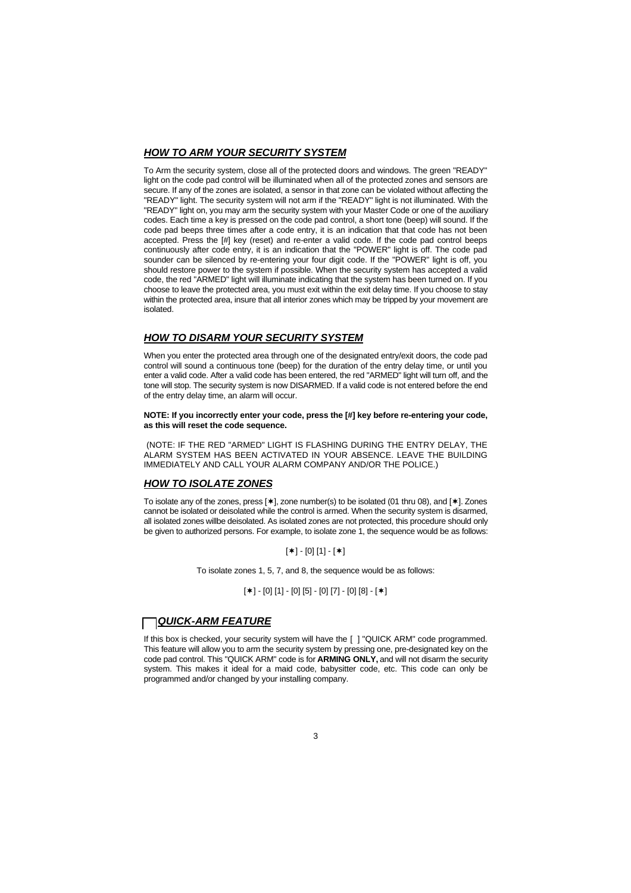### *HOW TO ARM YOUR SECURITY SYSTEM*

To Arm the security system, close all of the protected doors and windows. The green "READY" light on the code pad control will be illuminated when all of the protected zones and sensors are secure. If any of the zones are isolated, a sensor in that zone can be violated without affecting the "READY" light. The security system will not arm if the "READY" light is not illuminated. With the "READY" light on, you may arm the security system with your Master Code or one of the auxiliary codes. Each time a key is pressed on the code pad control, a short tone (beep) will sound. If the code pad beeps three times after a code entry, it is an indication that that code has not been accepted. Press the [#] key (reset) and re-enter a valid code. If the code pad control beeps continuously after code entry, it is an indication that the "POWER" light is off. The code pad sounder can be silenced by re-entering your four digit code. If the "POWER" light is off, you should restore power to the system if possible. When the security system has accepted a valid code, the red "ARMED" light will illuminate indicating that the system has been turned on. If you choose to leave the protected area, you must exit within the exit delay time. If you choose to stay within the protected area, insure that all interior zones which may be tripped by your movement are isolated.

## *HOW TO DISARM YOUR SECURITY SYSTEM*

When you enter the protected area through one of the designated entry/exit doors, the code pad control will sound a continuous tone (beep) for the duration of the entry delay time, or until you enter a valid code. After a valid code has been entered, the red "ARMED" light will turn off, and the tone will stop. The security system is now DISARMED. If a valid code is not entered before the end of the entry delay time, an alarm will occur.

**NOTE: If you incorrectly enter your code, press the [#] key before re-entering your code, as this will reset the code sequence.**

 (NOTE: IF THE RED "ARMED" LIGHT IS FLASHING DURING THE ENTRY DELAY, THE ALARM SYSTEM HAS BEEN ACTIVATED IN YOUR ABSENCE. LEAVE THE BUILDING IMMEDIATELY AND CALL YOUR ALARM COMPANY AND/OR THE POLICE.)

# *HOW TO ISOLATE ZONES*

To isolate any of the zones, press  $[*]$ , zone number(s) to be isolated (01 thru 08), and  $[*]$ . Zones cannot be isolated or deisolated while the control is armed. When the security system is disarmed, all isolated zones willbe deisolated. As isolated zones are not protected, this procedure should only be given to authorized persons. For example, to isolate zone 1, the sequence would be as follows:

 $[*] - [0] [1] -[*]$ 

To isolate zones 1, 5, 7, and 8, the sequence would be as follows:

 $[\ast] - [0] [1] - [0] [5] - [0] [7] - [0] [8] - [\ast]$ 

## *QUICK-ARM FEATURE*

If this box is checked, your security system will have the [ ] "QUICK ARM" code programmed. This feature will allow you to arm the security system by pressing one, pre-designated key on the code pad control. This "QUICK ARM" code is for **ARMING ONLY,** and will not disarm the security system. This makes it ideal for a maid code, babysitter code, etc. This code can only be programmed and/or changed by your installing company.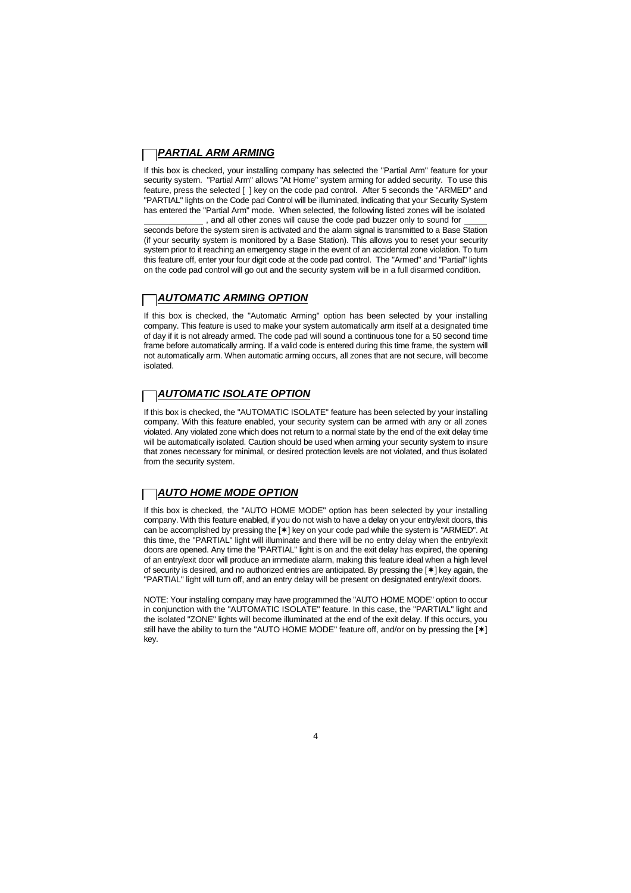## *PARTIAL ARM ARMING*

If this box is checked, your installing company has selected the "Partial Arm" feature for your security system. "Partial Arm" allows "At Home" system arming for added security. To use this feature, press the selected [ ] key on the code pad control. After 5 seconds the "ARMED" and "PARTIAL" lights on the Code pad Control will be illuminated, indicating that your Security System has entered the "Partial Arm" mode. When selected, the following listed zones will be isolated , and all other zones will cause the code pad buzzer only to sound for

seconds before the system siren is activated and the alarm signal is transmitted to a Base Station (if your security system is monitored by a Base Station). This allows you to reset your security system prior to it reaching an emergency stage in the event of an accidental zone violation. To turn this feature off, enter your four digit code at the code pad control. The "Armed" and "Partial" lights on the code pad control will go out and the security system will be in a full disarmed condition.

### *AUTOMATIC ARMING OPTION*

If this box is checked, the "Automatic Arming" option has been selected by your installing company. This feature is used to make your system automatically arm itself at a designated time of day if it is not already armed. The code pad will sound a continuous tone for a 50 second time frame before automatically arming. If a valid code is entered during this time frame, the system will not automatically arm. When automatic arming occurs, all zones that are not secure, will become isolated.

# *AUTOMATIC ISOLATE OPTION*

If this box is checked, the "AUTOMATIC ISOLATE" feature has been selected by your installing company. With this feature enabled, your security system can be armed with any or all zones violated. Any violated zone which does not return to a normal state by the end of the exit delay time will be automatically isolated. Caution should be used when arming your security system to insure that zones necessary for minimal, or desired protection levels are not violated, and thus isolated from the security system.

# *AUTO HOME MODE OPTION*

If this box is checked, the "AUTO HOME MODE" option has been selected by your installing company. With this feature enabled, if you do not wish to have a delay on your entry/exit doors, this can be accomplished by pressing the [ $*$ ] key on your code pad while the system is "ARMED". At this time, the "PARTIAL" light will illuminate and there will be no entry delay when the entry/exit doors are opened. Any time the "PARTIAL" light is on and the exit delay has expired, the opening of an entry/exit door will produce an immediate alarm, making this feature ideal when a high level of security is desired, and no authorized entries are anticipated. By pressing the [ $*$ ] key again, the "PARTIAL" light will turn off, and an entry delay will be present on designated entry/exit doors.

NOTE: Your installing company may have programmed the "AUTO HOME MODE" option to occur in conjunction with the "AUTOMATIC ISOLATE" feature. In this case, the "PARTIAL" light and the isolated "ZONE" lights will become illuminated at the end of the exit delay. If this occurs, you still have the ability to turn the "AUTO HOME MODE" feature off, and/or on by pressing the [\*] key.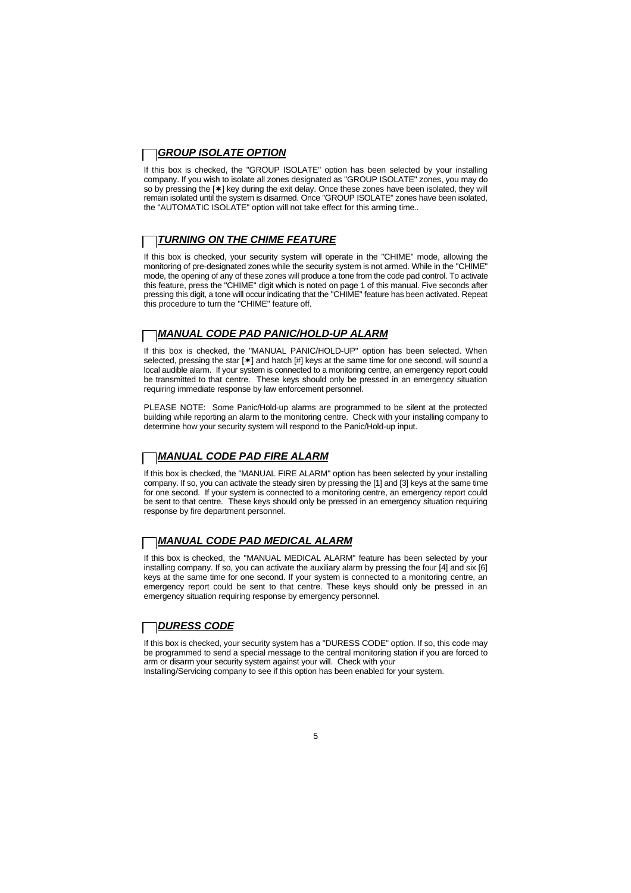## *GROUP ISOLATE OPTION*

If this box is checked, the "GROUP ISOLATE" option has been selected by your installing company. If you wish to isolate all zones designated as "GROUP ISOLATE" zones, you may do so by pressing the [\*] key during the exit delay. Once these zones have been isolated, they will remain isolated until the system is disarmed. Once "GROUP ISOLATE" zones have been isolated, the "AUTOMATIC ISOLATE" option will not take effect for this arming time..

# *TURNING ON THE CHIME FEATURE*

If this box is checked, your security system will operate in the "CHIME" mode, allowing the monitoring of pre-designated zones while the security system is not armed. While in the "CHIME" mode, the opening of any of these zones will produce a tone from the code pad control. To activate this feature, press the "CHIME" digit which is noted on page 1 of this manual. Five seconds after pressing this digit, a tone will occur indicating that the "CHIME" feature has been activated. Repeat this procedure to turn the "CHIME" feature off.

# *MANUAL CODE PAD PANIC/HOLD-UP ALARM*

If this box is checked, the "MANUAL PANIC/HOLD-UP" option has been selected. When selected, pressing the star  $[*]$  and hatch  $[#]$  keys at the same time for one second, will sound a local audible alarm. If your system is connected to a monitoring centre, an emergency report could be transmitted to that centre. These keys should only be pressed in an emergency situation requiring immediate response by law enforcement personnel.

PLEASE NOTE: Some Panic/Hold-up alarms are programmed to be silent at the protected building while reporting an alarm to the monitoring centre. Check with your installing company to determine how your security system will respond to the Panic/Hold-up input.

#### *MANUAL CODE PAD FIRE ALARM*

If this box is checked, the "MANUAL FIRE ALARM" option has been selected by your installing company. If so, you can activate the steady siren by pressing the [1] and [3] keys at the same time for one second. If your system is connected to a monitoring centre, an emergency report could be sent to that centre. These keys should only be pressed in an emergency situation requiring response by fire department personnel.

#### *MANUAL CODE PAD MEDICAL ALARM*

If this box is checked, the "MANUAL MEDICAL ALARM" feature has been selected by your installing company. If so, you can activate the auxiliary alarm by pressing the four [4] and six [6] keys at the same time for one second. If your system is connected to a monitoring centre, an emergency report could be sent to that centre. These keys should only be pressed in an emergency situation requiring response by emergency personnel.

## *DURESS CODE*

If this box is checked, your security system has a "DURESS CODE" option. If so, this code may be programmed to send a special message to the central monitoring station if you are forced to arm or disarm your security system against your will. Check with your Installing/Servicing company to see if this option has been enabled for your system.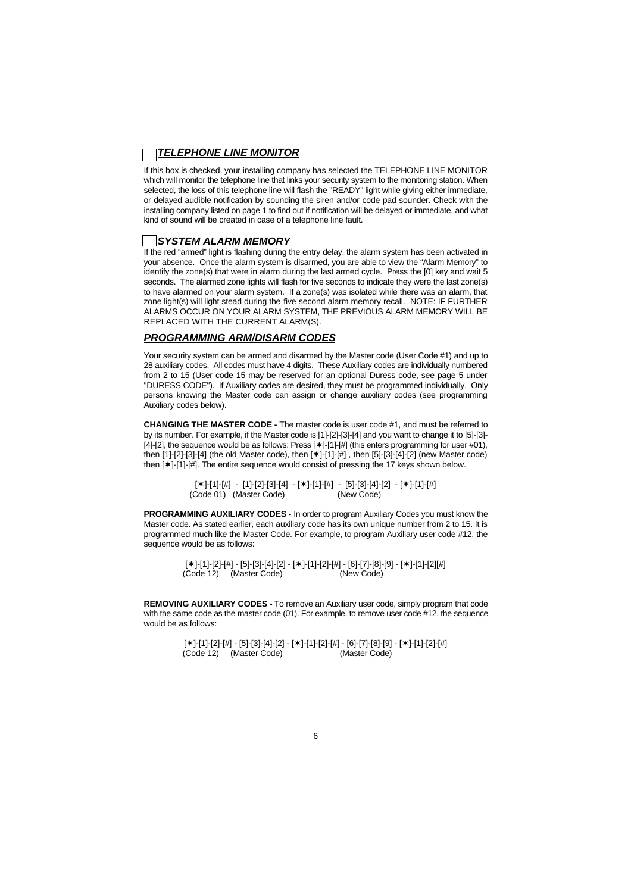## *TELEPHONE LINE MONITOR*

If this box is checked, your installing company has selected the TELEPHONE LINE MONITOR which will monitor the telephone line that links your security system to the monitoring station. When selected, the loss of this telephone line will flash the "READY" light while giving either immediate, or delayed audible notification by sounding the siren and/or code pad sounder. Check with the installing company listed on page 1 to find out if notification will be delayed or immediate, and what kind of sound will be created in case of a telephone line fault.

#### *SYSTEM ALARM MEMORY*

If the red "armed" light is flashing during the entry delay, the alarm system has been activated in your absence. Once the alarm system is disarmed, you are able to view the "Alarm Memory" to identify the zone(s) that were in alarm during the last armed cycle. Press the [0] key and wait 5 seconds. The alarmed zone lights will flash for five seconds to indicate they were the last zone(s) to have alarmed on your alarm system. If a zone(s) was isolated while there was an alarm, that zone light(s) will light stead during the five second alarm memory recall. NOTE: IF FURTHER ALARMS OCCUR ON YOUR ALARM SYSTEM, THE PREVIOUS ALARM MEMORY WILL BE REPLACED WITH THE CURRENT ALARM(S).

## *PROGRAMMING ARM/DISARM CODES*

Your security system can be armed and disarmed by the Master code (User Code #1) and up to 28 auxiliary codes. All codes must have 4 digits. These Auxiliary codes are individually numbered from 2 to 15 (User code 15 may be reserved for an optional Duress code, see page 5 under "DURESS CODE"). If Auxiliary codes are desired, they must be programmed individually. Only persons knowing the Master code can assign or change auxiliary codes (see programming Auxiliary codes below).

**CHANGING THE MASTER CODE -** The master code is user code #1, and must be referred to by its number. For example, if the Master code is [1]-[2]-[3]-[4] and you want to change it to [5]-[3]- [4]-[2], the sequence would be as follows: Press  $[\ast]$ -[1]-[#] (this enters programming for user #01), then  $[1]-[2]-[3]-[4]$  (the old Master code), then  $[*]-[1]-[#]$  , then  $[5]-[3]-[4]-[2]$  (new Master code) then  $[*]-[1]-[#]$ . The entire sequence would consist of pressing the 17 keys shown below.

> [ \* ]-[1]-[#] - [1]-[2]-[3]-[4] - [ \* ]-[1]-[#] - [5]-[3]-[4]-[2] - [ \* ]-[1]-[#]<br>Code 01) (Master Code) (New Code) (Code 01) (Master Code)

**PROGRAMMING AUXILIARY CODES -** In order to program Auxiliary Codes you must know the Master code. As stated earlier, each auxiliary code has its own unique number from 2 to 15. It is programmed much like the Master Code. For example, to program Auxiliary user code #12, the sequence would be as follows:

> [\*]-[1]-[2]-[#] - [5]-[3]-[4]-[2] - [\*]-[1]-[2]-[#] - [6]-[7]-[8]-[9] - [\*]-[1]-[2][#]<br>Code 12) (Master Code) (New Code) (Code 12) (Master Code)

**REMOVING AUXILIARY CODES -** To remove an Auxiliary user code, simply program that code with the same code as the master code (01). For example, to remove user code #12, the sequence would be as follows:

> [\*]-[1]-[2]-[#] - [5]-[3]-[4]-[2] - [\*]-[1]-[2]-[#] - [6]-[7]-[8]-[9] - [\*]-[1]-[2]-[#] (Code 12) (Master Code) (Master Code)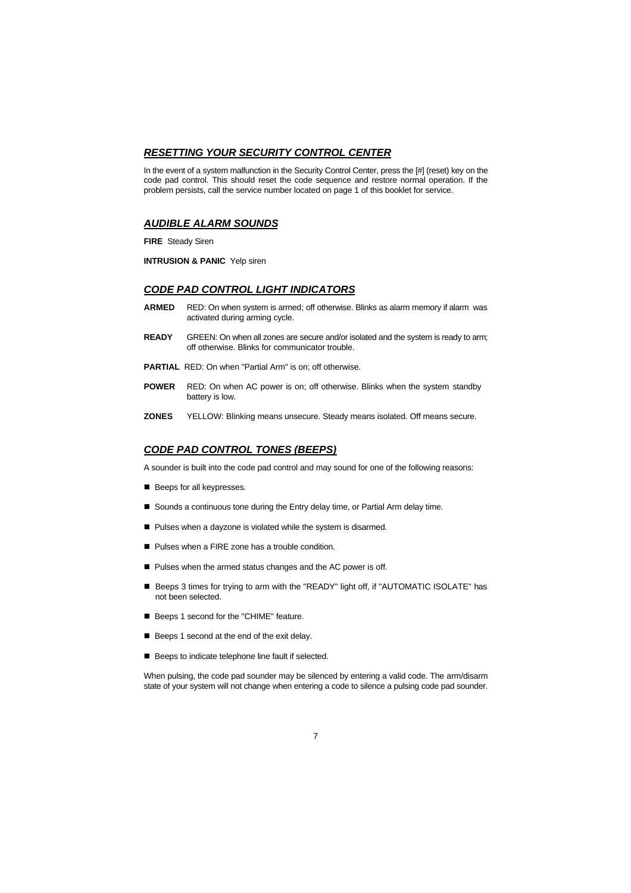### *RESETTING YOUR SECURITY CONTROL CENTER*

In the event of a system malfunction in the Security Control Center, press the [#] (reset) key on the code pad control. This should reset the code sequence and restore normal operation. If the problem persists, call the service number located on page 1 of this booklet for service.

#### *AUDIBLE ALARM SOUNDS*

**FIRE** Steady Siren

**INTRUSION & PANIC** Yelp siren

## *CODE PAD CONTROL LIGHT INDICATORS*

- **ARMED** RED: On when system is armed; off otherwise. Blinks as alarm memory if alarm was activated during arming cycle.
- **READY** GREEN: On when all zones are secure and/or isolated and the system is ready to arm; off otherwise. Blinks for communicator trouble.
- **PARTIAL** RED: On when "Partial Arm" is on; off otherwise.
- **POWER** RED: On when AC power is on; off otherwise. Blinks when the system standby battery is low.
- **ZONES** YELLOW: Blinking means unsecure. Steady means isolated. Off means secure.

### *CODE PAD CONTROL TONES (BEEPS)*

A sounder is built into the code pad control and may sound for one of the following reasons:

- Beeps for all keypresses.
- Sounds a continuous tone during the Entry delay time, or Partial Arm delay time.
- Pulses when a dayzone is violated while the system is disarmed.
- Pulses when a FIRE zone has a trouble condition.
- $\blacksquare$  Pulses when the armed status changes and the AC power is off.
- Beeps 3 times for trying to arm with the "READY" light off, if "AUTOMATIC ISOLATE" has not been selected.
- Beeps 1 second for the "CHIME" feature.
- Beeps 1 second at the end of the exit delay.
- Beeps to indicate telephone line fault if selected.

When pulsing, the code pad sounder may be silenced by entering a valid code. The arm/disarm state of your system will not change when entering a code to silence a pulsing code pad sounder.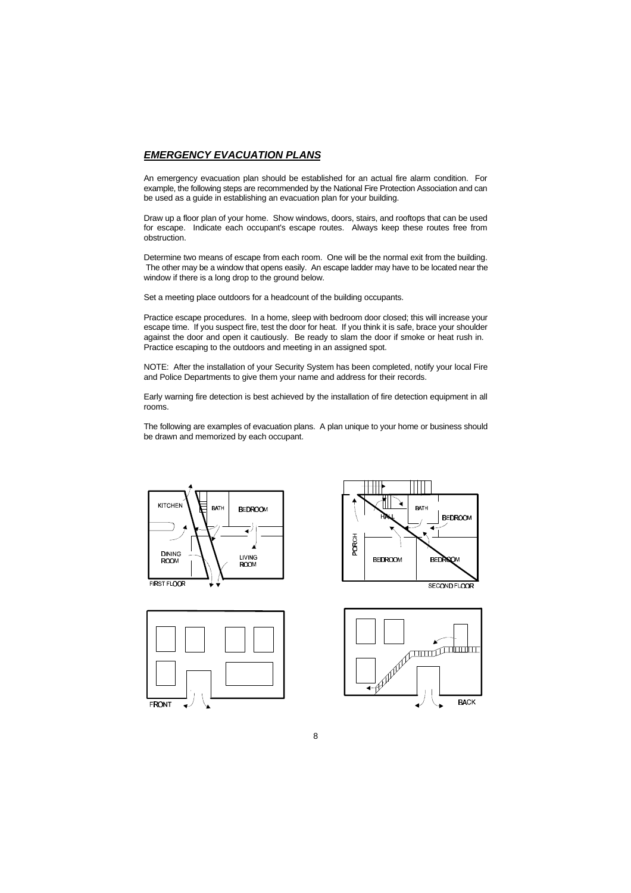#### *EMERGENCY EVACUATION PLANS*

An emergency evacuation plan should be established for an actual fire alarm condition. For example, the following steps are recommended by the National Fire Protection Association and can be used as a guide in establishing an evacuation plan for your building.

Draw up a floor plan of your home. Show windows, doors, stairs, and rooftops that can be used for escape. Indicate each occupant's escape routes. Always keep these routes free from obstruction.

Determine two means of escape from each room. One will be the normal exit from the building. The other may be a window that opens easily. An escape ladder may have to be located near the window if there is a long drop to the ground below.

Set a meeting place outdoors for a headcount of the building occupants.

Practice escape procedures. In a home, sleep with bedroom door closed; this will increase your escape time. If you suspect fire, test the door for heat. If you think it is safe, brace your shoulder against the door and open it cautiously. Be ready to slam the door if smoke or heat rush in. Practice escaping to the outdoors and meeting in an assigned spot.

NOTE: After the installation of your Security System has been completed, notify your local Fire and Police Departments to give them your name and address for their records.

Early warning fire detection is best achieved by the installation of fire detection equipment in all rooms.

The following are examples of evacuation plans. A plan unique to your home or business should be drawn and memorized by each occupant.